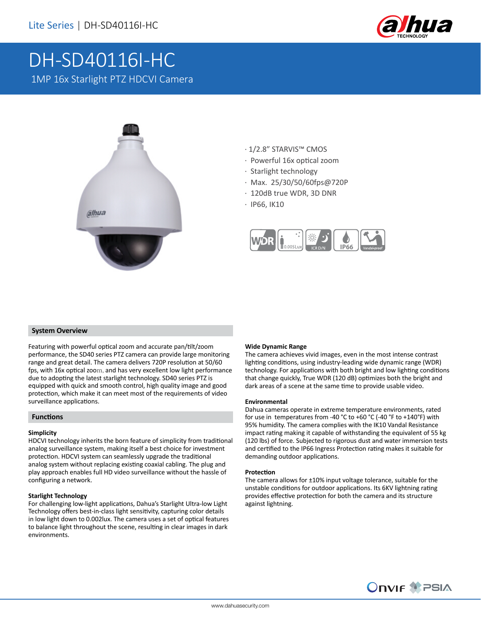

# DH-SD40116I-HC 1MP 16x Starlight PTZ HDCVI Camera



- · 1/2.8" STARVIS™ CMOS
- · Powerful 16x optical zoom
- · Starlight technology
- · Max. 25/30/50/60fps@720P
- · 120dB true WDR, 3D DNR
- · IP66, IK10



#### **System Overview**

Featuring with powerful optical zoom and accurate pan/tilt/zoom performance, the SD40 series PTZ camera can provide large monitoring range and great detail. The camera delivers 720P resolution at 50/60 fps, with 16x optical zoom, and has very excellent low light performance due to adopting the latest starlight technology. SD40 series PTZ is equipped with quick and smooth control, high quality image and good protection, which make it can meet most of the requirements of video surveillance applications.

#### **Functions**

#### **Simplicity**

HDCVI technology inherits the born feature of simplicity from traditional analog surveillance system, making itself a best choice for investment protection. HDCVI system can seamlessly upgrade the traditional analog system without replacing existing coaxial cabling. The plug and play approach enables full HD video surveillance without the hassle of configuring a network.

#### **Starlight Technology**

For challenging low-light applications, Dahua's Starlight Ultra-low Light Technology offers best-in-class light sensitivity, capturing color details in low light down to 0.002lux. The camera uses a set of optical features to balance light throughout the scene, resulting in clear images in dark environments.

#### **Wide Dynamic Range**

The camera achieves vivid images, even in the most intense contrast lighting conditions, using industry-leading wide dynamic range (WDR) technology. For applications with both bright and low lighting conditions that change quickly, True WDR (120 dB) optimizes both the bright and dark areas of a scene at the same time to provide usable video.

#### **Environmental**

Dahua cameras operate in extreme temperature environments, rated for use in temperatures from -40 °C to +60 °C (-40 °F to +140°F) with 95% humidity. The camera complies with the IK10 Vandal Resistance impact rating making it capable of withstanding the equivalent of 55 kg (120 lbs) of force. Subjected to rigorous dust and water immersion tests and certified to the IP66 Ingress Protection rating makes it suitable for demanding outdoor applications.

#### **Protection**

The camera allows for ±10% input voltage tolerance, suitable for the unstable conditions for outdoor applications. Its 6KV lightning rating provides effective protection for both the camera and its structure against lightning.

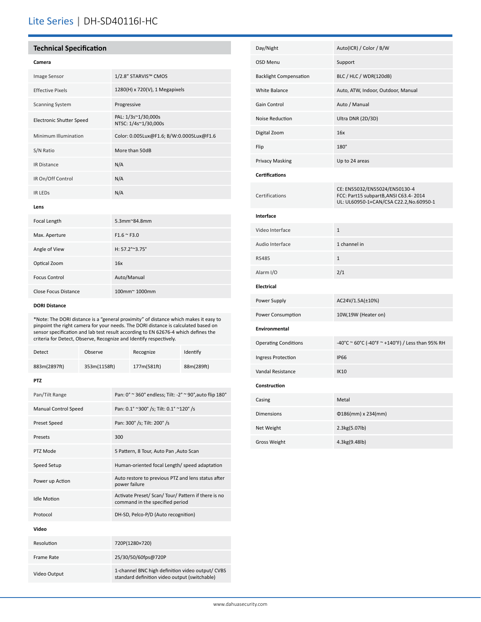## Lite Series | DH-SD40116I-HC

#### **Technical Specification**

#### **Camera**

| Image Sensor                    | 1/2.8" STARVIS™ CMOS                        |
|---------------------------------|---------------------------------------------|
| <b>Effective Pixels</b>         | $1280(H) \times 720(V)$ , 1 Megapixels      |
| <b>Scanning System</b>          | Progressive                                 |
| <b>Electronic Shutter Speed</b> | PAL: 1/3s~1/30,000s<br>NTSC: 1/4s~1/30,000s |
| Minimum Illumination            | Color: 0.005Lux@F1.6; B/W:0.0005Lux@F1.6    |
| S/N Ratio                       | More than 50dB                              |
| <b>IR Distance</b>              | N/A                                         |
| IR On/Off Control               | N/A                                         |
| <b>IR LEDS</b>                  | N/A                                         |
|                                 |                                             |

#### **Lens**

| Focal Length         | $5.3$ mm $^{\circ}$ 84.8mm |
|----------------------|----------------------------|
| Max. Aperture        | $F1.6 \approx F3.0$        |
| Angle of View        | H: $57.2^{\circ}$ ~ 3.75°  |
| Optical Zoom         | 16x                        |
| <b>Focus Control</b> | Auto/Manual                |
| Close Focus Distance | 100mm~1000mm               |

#### **DORI Distance**

\*Note: The DORI distance is a "general proximity" of distance which makes it easy to pinpoint the right camera for your needs. The DORI distance is calculated based on sensor specification and lab test result according to EN 62676-4 which defines the criteria for Detect, Observe, Recognize and Identify respectively.

| Detect                      | Observe      |                                                                                                   | Recognize   | Identify   |
|-----------------------------|--------------|---------------------------------------------------------------------------------------------------|-------------|------------|
| 883m(2897ft)                | 353m(1158ft) |                                                                                                   | 177m(581ft) | 88m(289ft) |
| <b>PTZ</b>                  |              |                                                                                                   |             |            |
| Pan/Tilt Range              |              | Pan: 0° ~ 360° endless; Tilt: -2° ~ 90°, auto flip 180°                                           |             |            |
| <b>Manual Control Speed</b> |              | Pan: 0.1° ~300° /s; Tilt: 0.1° ~120° /s                                                           |             |            |
| Preset Speed                |              | Pan: 300° /s; Tilt: 200° /s                                                                       |             |            |
| Presets                     |              | 300                                                                                               |             |            |
| PTZ Mode                    |              | 5 Pattern, 8 Tour, Auto Pan, Auto Scan                                                            |             |            |
| Speed Setup                 |              | Human-oriented focal Length/ speed adaptation                                                     |             |            |
| Power up Action             |              | Auto restore to previous PTZ and lens status after<br>power failure                               |             |            |
| <b>Idle Motion</b>          |              | Activate Preset/ Scan/ Tour/ Pattern if there is no<br>command in the specified period            |             |            |
| Protocol                    |              | DH-SD, Pelco-P/D (Auto recognition)                                                               |             |            |
| Video                       |              |                                                                                                   |             |            |
| Resolution                  |              | 720P(1280×720)                                                                                    |             |            |
| Frame Rate                  |              | 25/30/50/60fps@720P                                                                               |             |            |
| Video Output                |              | 1-channel BNC high definition video output/ CVBS<br>standard definition video output (switchable) |             |            |

| Day/Night                     | Auto(ICR) / Color / B/W                                                                                           |  |  |  |
|-------------------------------|-------------------------------------------------------------------------------------------------------------------|--|--|--|
| OSD Menu                      | Support                                                                                                           |  |  |  |
| <b>Backlight Compensation</b> | BLC / HLC / WDR(120dB)                                                                                            |  |  |  |
| White Balance                 | Auto, ATW, Indoor, Outdoor, Manual                                                                                |  |  |  |
| Gain Control                  | Auto / Manual                                                                                                     |  |  |  |
| Noise Reduction               | Ultra DNR (2D/3D)                                                                                                 |  |  |  |
| Digital Zoom                  | 16x                                                                                                               |  |  |  |
| Flip                          | $180^\circ$                                                                                                       |  |  |  |
| Privacy Masking               | Up to 24 areas                                                                                                    |  |  |  |
| <b>Certifications</b>         |                                                                                                                   |  |  |  |
| Certifications                | CE: EN55032/EN55024/EN50130-4<br>FCC: Part15 subpartB, ANSI C63.4-2014<br>UL: UL60950-1+CAN/CSA C22.2, No.60950-1 |  |  |  |
| Interface                     |                                                                                                                   |  |  |  |
| Video Interface               | $\mathbf{1}$                                                                                                      |  |  |  |
| Audio Interface               | 1 channel in                                                                                                      |  |  |  |
| <b>RS485</b>                  | $\mathbf 1$                                                                                                       |  |  |  |
| Alarm I/O                     | 2/1                                                                                                               |  |  |  |
| Electrical                    |                                                                                                                   |  |  |  |
| Power Supply                  | AC24V/1.5A(±10%)                                                                                                  |  |  |  |
| Power Consumption             | 10W,19W (Heater on)                                                                                               |  |  |  |
| Environmental                 |                                                                                                                   |  |  |  |
| <b>Operating Conditions</b>   | -40°C ~ 60°C (-40°F ~ +140°F) / Less than 95% RH                                                                  |  |  |  |
| Ingress Protection            | <b>IP66</b>                                                                                                       |  |  |  |
| Vandal Resistance             | <b>IK10</b>                                                                                                       |  |  |  |
| Construction                  |                                                                                                                   |  |  |  |
| Casing                        | Metal                                                                                                             |  |  |  |
| <b>Dimensions</b>             | $0186$ (mm) x 234(mm)                                                                                             |  |  |  |
| Net Weight                    | 2.3kg(5.07lb)                                                                                                     |  |  |  |
| <b>Gross Weight</b>           | 4.3kg(9.48lb)                                                                                                     |  |  |  |